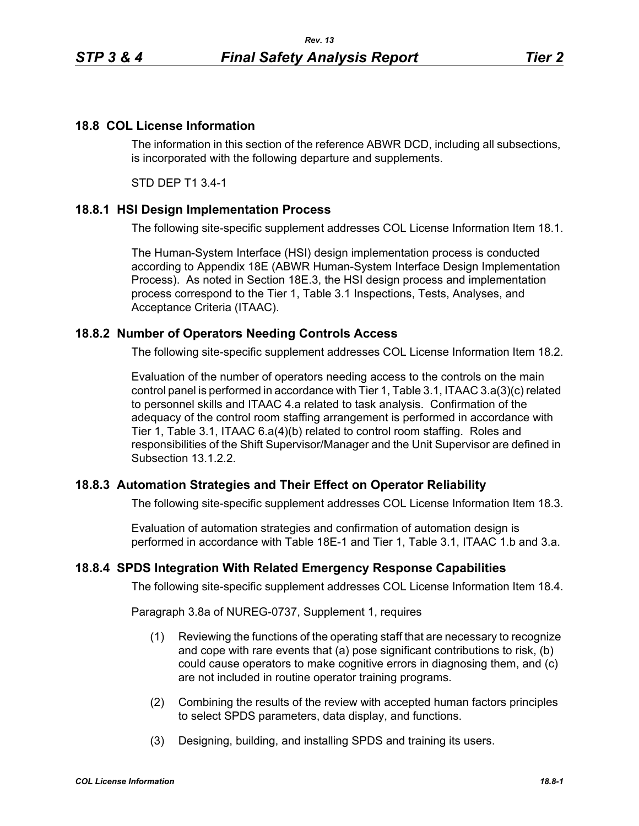### **18.8 COL License Information**

The information in this section of the reference ABWR DCD, including all subsections, is incorporated with the following departure and supplements.

STD DEP T1 3.4-1

#### **18.8.1 HSI Design Implementation Process**

The following site-specific supplement addresses COL License Information Item 18.1.

The Human-System Interface (HSI) design implementation process is conducted according to Appendix 18E (ABWR Human-System Interface Design Implementation Process). As noted in Section 18E.3, the HSI design process and implementation process correspond to the Tier 1, Table 3.1 Inspections, Tests, Analyses, and Acceptance Criteria (ITAAC).

#### **18.8.2 Number of Operators Needing Controls Access**

The following site-specific supplement addresses COL License Information Item 18.2.

Evaluation of the number of operators needing access to the controls on the main control panel is performed in accordance with Tier 1, Table 3.1, ITAAC 3.a(3)(c) related to personnel skills and ITAAC 4.a related to task analysis. Confirmation of the adequacy of the control room staffing arrangement is performed in accordance with Tier 1, Table 3.1, ITAAC 6.a(4)(b) related to control room staffing. Roles and responsibilities of the Shift Supervisor/Manager and the Unit Supervisor are defined in Subsection 13.1.2.2.

#### **18.8.3 Automation Strategies and Their Effect on Operator Reliability**

The following site-specific supplement addresses COL License Information Item 18.3.

Evaluation of automation strategies and confirmation of automation design is performed in accordance with Table 18E-1 and Tier 1, Table 3.1, ITAAC 1.b and 3.a.

#### **18.8.4 SPDS Integration With Related Emergency Response Capabilities**

The following site-specific supplement addresses COL License Information Item 18.4.

Paragraph 3.8a of NUREG-0737, Supplement 1, requires

- (1) Reviewing the functions of the operating staff that are necessary to recognize and cope with rare events that (a) pose significant contributions to risk, (b) could cause operators to make cognitive errors in diagnosing them, and (c) are not included in routine operator training programs.
- (2) Combining the results of the review with accepted human factors principles to select SPDS parameters, data display, and functions.
- (3) Designing, building, and installing SPDS and training its users.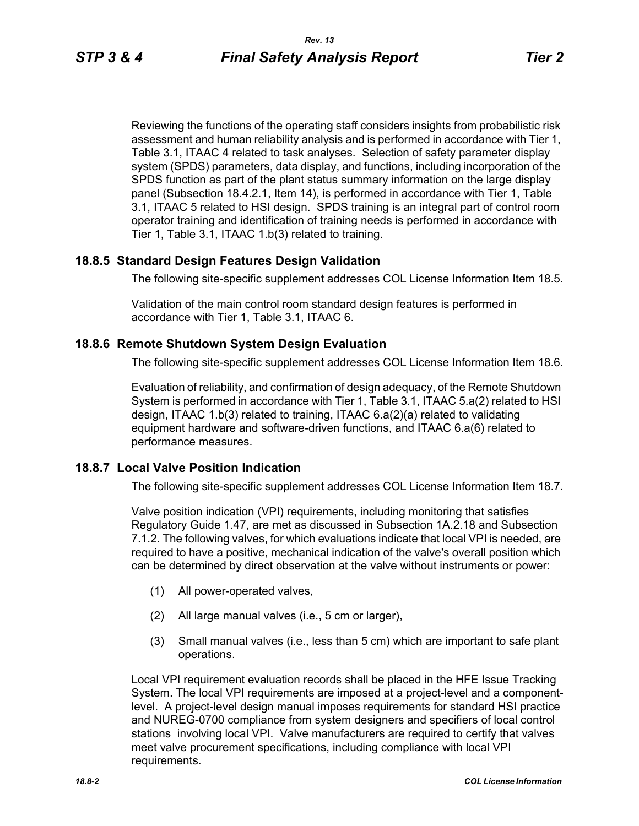Reviewing the functions of the operating staff considers insights from probabilistic risk assessment and human reliability analysis and is performed in accordance with Tier 1, Table 3.1, ITAAC 4 related to task analyses. Selection of safety parameter display system (SPDS) parameters, data display, and functions, including incorporation of the SPDS function as part of the plant status summary information on the large display panel (Subsection 18.4.2.1, Item 14), is performed in accordance with Tier 1, Table 3.1, ITAAC 5 related to HSI design. SPDS training is an integral part of control room operator training and identification of training needs is performed in accordance with Tier 1, Table 3.1, ITAAC 1.b(3) related to training.

# **18.8.5 Standard Design Features Design Validation**

The following site-specific supplement addresses COL License Information Item 18.5.

Validation of the main control room standard design features is performed in accordance with Tier 1, Table 3.1, ITAAC 6.

# **18.8.6 Remote Shutdown System Design Evaluation**

The following site-specific supplement addresses COL License Information Item 18.6.

Evaluation of reliability, and confirmation of design adequacy, of the Remote Shutdown System is performed in accordance with Tier 1, Table 3.1, ITAAC 5.a(2) related to HSI design, ITAAC 1.b(3) related to training, ITAAC 6.a(2)(a) related to validating equipment hardware and software-driven functions, and ITAAC 6.a(6) related to performance measures.

# **18.8.7 Local Valve Position Indication**

The following site-specific supplement addresses COL License Information Item 18.7.

Valve position indication (VPI) requirements, including monitoring that satisfies Regulatory Guide 1.47, are met as discussed in Subsection 1A.2.18 and Subsection 7.1.2. The following valves, for which evaluations indicate that local VPI is needed, are required to have a positive, mechanical indication of the valve's overall position which can be determined by direct observation at the valve without instruments or power:

- (1) All power-operated valves,
- (2) All large manual valves (i.e., 5 cm or larger),
- (3) Small manual valves (i.e., less than 5 cm) which are important to safe plant operations.

Local VPI requirement evaluation records shall be placed in the HFE Issue Tracking System. The local VPI requirements are imposed at a project-level and a componentlevel. A project-level design manual imposes requirements for standard HSI practice and NUREG-0700 compliance from system designers and specifiers of local control stations involving local VPI. Valve manufacturers are required to certify that valves meet valve procurement specifications, including compliance with local VPI requirements.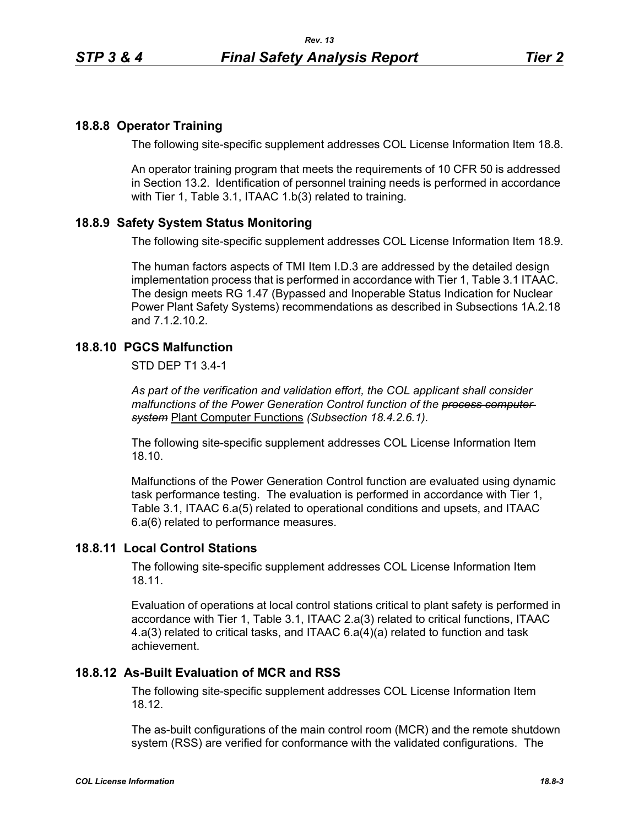### **18.8.8 Operator Training**

The following site-specific supplement addresses COL License Information Item 18.8.

An operator training program that meets the requirements of 10 CFR 50 is addressed in Section 13.2. Identification of personnel training needs is performed in accordance with Tier 1, Table 3.1, ITAAC 1.b(3) related to training.

#### **18.8.9 Safety System Status Monitoring**

The following site-specific supplement addresses COL License Information Item 18.9.

The human factors aspects of TMI Item I.D.3 are addressed by the detailed design implementation process that is performed in accordance with Tier 1, Table 3.1 ITAAC. The design meets RG 1.47 (Bypassed and Inoperable Status Indication for Nuclear Power Plant Safety Systems) recommendations as described in Subsections 1A.2.18 and 7.1.2.10.2.

# **18.8.10 PGCS Malfunction**

STD DEP T1 3.4-1

*As part of the verification and validation effort, the COL applicant shall consider malfunctions of the Power Generation Control function of the process computer system* Plant Computer Functions *(Subsection 18.4.2.6.1).*

The following site-specific supplement addresses COL License Information Item 18.10.

Malfunctions of the Power Generation Control function are evaluated using dynamic task performance testing. The evaluation is performed in accordance with Tier 1, Table 3.1, ITAAC 6.a(5) related to operational conditions and upsets, and ITAAC 6.a(6) related to performance measures.

#### **18.8.11 Local Control Stations**

The following site-specific supplement addresses COL License Information Item 18.11.

Evaluation of operations at local control stations critical to plant safety is performed in accordance with Tier 1, Table 3.1, ITAAC 2.a(3) related to critical functions, ITAAC 4.a(3) related to critical tasks, and ITAAC 6.a(4)(a) related to function and task achievement.

#### **18.8.12 As-Built Evaluation of MCR and RSS**

The following site-specific supplement addresses COL License Information Item 18.12.

The as-built configurations of the main control room (MCR) and the remote shutdown system (RSS) are verified for conformance with the validated configurations. The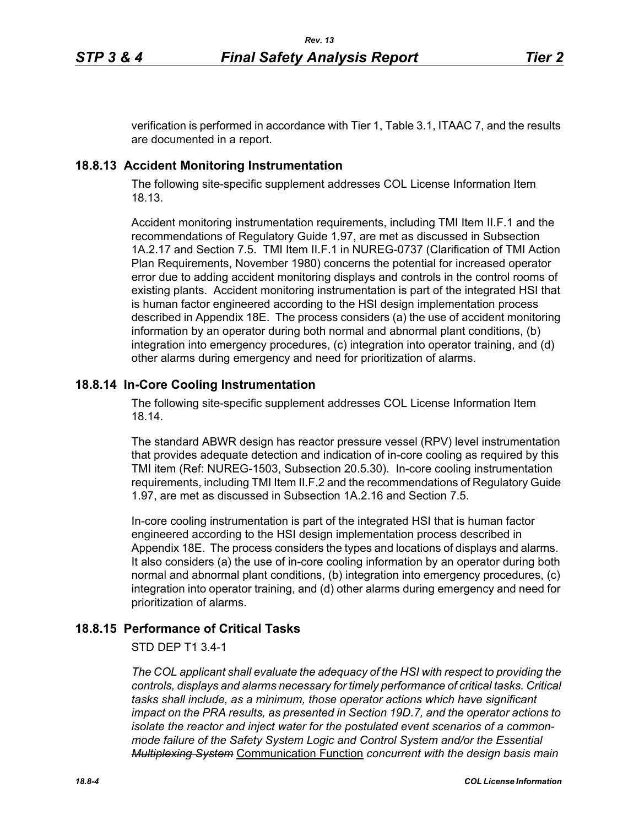verification is performed in accordance with Tier 1, Table 3.1, ITAAC 7, and the results are documented in a report.

### **18.8.13 Accident Monitoring Instrumentation**

The following site-specific supplement addresses COL License Information Item 18.13.

Accident monitoring instrumentation requirements, including TMI Item II.F.1 and the recommendations of Regulatory Guide 1.97, are met as discussed in Subsection 1A.2.17 and Section 7.5. TMI Item II.F.1 in NUREG-0737 (Clarification of TMI Action Plan Requirements, November 1980) concerns the potential for increased operator error due to adding accident monitoring displays and controls in the control rooms of existing plants. Accident monitoring instrumentation is part of the integrated HSI that is human factor engineered according to the HSI design implementation process described in Appendix 18E. The process considers (a) the use of accident monitoring information by an operator during both normal and abnormal plant conditions, (b) integration into emergency procedures, (c) integration into operator training, and (d) other alarms during emergency and need for prioritization of alarms.

# **18.8.14 In-Core Cooling Instrumentation**

The following site-specific supplement addresses COL License Information Item 18.14.

The standard ABWR design has reactor pressure vessel (RPV) level instrumentation that provides adequate detection and indication of in-core cooling as required by this TMI item (Ref: NUREG-1503, Subsection 20.5.30). In-core cooling instrumentation requirements, including TMI Item II.F.2 and the recommendations of Regulatory Guide 1.97, are met as discussed in Subsection 1A.2.16 and Section 7.5.

In-core cooling instrumentation is part of the integrated HSI that is human factor engineered according to the HSI design implementation process described in Appendix 18E. The process considers the types and locations of displays and alarms. It also considers (a) the use of in-core cooling information by an operator during both normal and abnormal plant conditions, (b) integration into emergency procedures, (c) integration into operator training, and (d) other alarms during emergency and need for prioritization of alarms.

# **18.8.15 Performance of Critical Tasks**

#### STD DEP T1 3.4-1

*The COL applicant shall evaluate the adequacy of the HSI with respect to providing the controls, displays and alarms necessary for timely performance of critical tasks. Critical tasks shall include, as a minimum, those operator actions which have significant impact on the PRA results, as presented in Section 19D.7, and the operator actions to isolate the reactor and inject water for the postulated event scenarios of a commonmode failure of the Safety System Logic and Control System and/or the Essential Multiplexing System* Communication Function *concurrent with the design basis main*